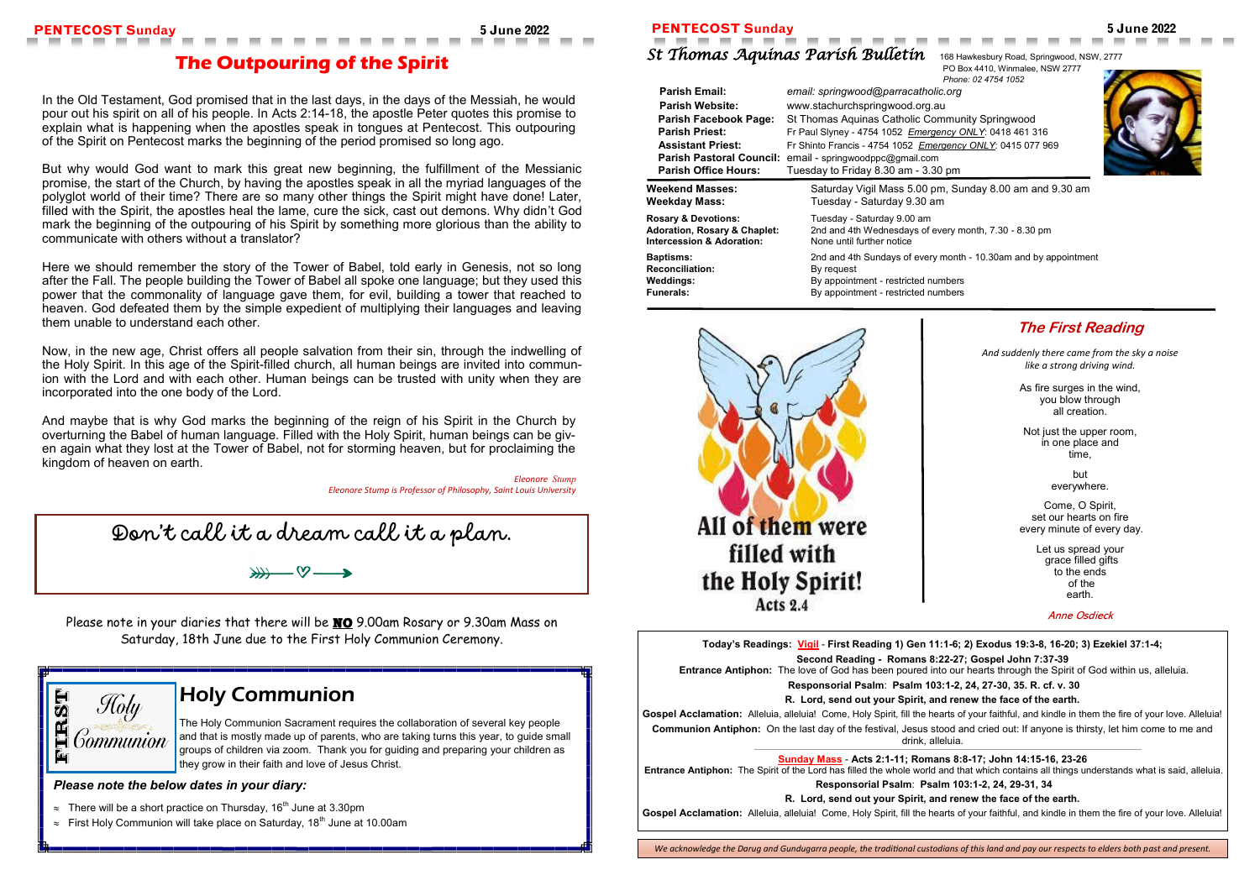**Today's Readings: Vigil** - **First Reading 1) Gen 11:1-6; 2) Exodus 19:3-8, 16-20; 3) Ezekiel 37:1-4; Second Reading - Romans 8:22-27; Gospel John 7:37-39 Entrance Antiphon:** The love of God has been poured into our hearts through the Spirit of God within us, alleluia. **Responsorial Psalm**: **Psalm 103:1-2, 24, 27-30, 35. R. cf. v. 30 R. Lord, send out your Spirit, and renew the face of the earth.** Gospel Acclamation: Alleluia, alleluia! Come, Holy Spirit, fill the hearts of your faithful, and kindle in them the fire of your love. Alleluia! **Communion Antiphon:** On the last day of the festival, Jesus stood and cried out: If anyone is thirsty, let him come to me and drink, alleluia. **Sunday Mass** - **Acts 2:1-11; Romans 8:8-17; John 14:15-16, 23-26 Entrance Antiphon:** The Spirit of the Lord has filled the whole world and that which contains all things understands what is said, alleluia.

**<br><b>Parish Facebook** Springwood **Parish Priest:** Fr Paul Slyney - 4754 1052 *Emergency ONLY*: 0418 461 316  **Assistant Priest:** Fr Shinto Francis - 4754 1052 *Emergency ONLY*: 0415 077 969



Sunday 8.00 am and 9.30 am

 $\mu$  month, 7.30 - 8.30 pm

**Responsorial Psalm**: **Psalm 103:1-2, 24, 29-31, 34**

**R. Lord, send out your Spirit, and renew the face of the earth.**

Gospel Acclamation: Alleluia, alleluia! Come, Holy Spirit, fill the hearts of your faithful, and kindle in them the fire of your love. Alleluia!

### **PENTECOST Sunday 5 June 2022 PENTECOST Sunday 5 June 2022**

## *St Thomas Aquinas Parish Bulletin* 168 Hawkesbury Road, Springwood, NSW, 2777

PO Box 4410, Winmalee, NSW 2777 *Phone: 02 4754 1052*

| <b>Parish Email:</b>                    | email: springwood@parracatholic.org     |  |  |
|-----------------------------------------|-----------------------------------------|--|--|
| <b>Parish Website:</b>                  | www.stachurchspringwood.org.au          |  |  |
| <b>Parish Facebook Page:</b>            | St Thomas Aquinas Catholic Commur       |  |  |
| <b>Parish Priest:</b>                   | Fr Paul Slyney - 4754 1052 Emergency C  |  |  |
| <b>Assistant Priest:</b>                | Fr Shinto Francis - 4754 1052 Emergency |  |  |
| <b>Parish Pastoral Council:</b>         | email - springwoodppc@gmail.com         |  |  |
| <b>Parish Office Hours:</b>             | Tuesday to Friday 8.30 am - 3.30 pm     |  |  |
| <b>Weekend Masses:</b>                  | Saturday Vigil Mass 5.00 pm, Su         |  |  |
| Weekday Mass:                           | Tuesday - Saturday 9.30 am              |  |  |
| <b>Rosary &amp; Devotions:</b>          | Tuesday - Saturday 9.00 am              |  |  |
| <b>Adoration, Rosary &amp; Chaplet:</b> | 2nd and 4th Wednesdays of every m       |  |  |
| <b>Intercession &amp; Adoration:</b>    | None until further notice               |  |  |
| <b>Baptisms:</b>                        | 2nd and 4th Sundays of every month      |  |  |
| <b>Reconciliation:</b>                  | By request                              |  |  |
| <b>Weddings:</b>                        | By appointment - restricted numbers     |  |  |
| <b>Funerals:</b>                        | By appointment - restricted numbers     |  |  |



**Baptisms:** 2nd and 4th Sundays of every month - 10.30am and by appointment

## **The First Reading**

*And suddenly there came from the sky a noise like a strong driving wind.*

> As fire surges in the wind, you blow through all creation.

Not just the upper room, in one place and time,

> but everywhere.

Come, O Spirit, set our hearts on fire every minute of every day.

> Let us spread your grace filled gifts to the ends of the earth.

Please note in your diaries that there will be **NO** 9.00am Rosary or 9.30am Mass on Saturday, 18th June due to the First Holy Communion Ceremony.



Anne Osdieck

| <b>The Outpouring of the Spirit</b> |  |
|-------------------------------------|--|
|                                     |  |

In the Old Testament, God promised that in the last days, in the days of the Messiah, he would pour out his spirit on all of his people. In [Acts 2:14](https://bible.usccb.org/bible/acts/2?14)-18, the apostle Peter quotes this promise to explain what is happening when the apostles speak in tongues at Pentecost. This outpouring of the Spirit on Pentecost marks the beginning of the period promised so long ago.

But why would God want to mark this great new beginning, the fulfillment of the Messianic promise, the start of the Church, by having the apostles speak in all the myriad languages of the polyglot world of their time? There are so many other things the Spirit might have done! Later, filled with the Spirit, the apostles heal the lame, cure the sick, cast out demons. Why didn't God mark the beginning of the outpouring of his Spirit by something more glorious than the ability to communicate with others without a translator?

Here we should remember the story of the Tower of Babel, told early in Genesis, not so long after the Fall. The people building the Tower of Babel all spoke one language; but they used this power that the commonality of language gave them, for evil, building a tower that reached to heaven. God defeated them by the simple expedient of multiplying their languages and leaving them unable to understand each other.

Now, in the new age, Christ offers all people salvation from their sin, through the indwelling of the Holy Spirit. In this age of the Spirit-filled church, all human beings are invited into communion with the Lord and with each other. Human beings can be trusted with unity when they are incorporated into the one body of the Lord.

And maybe that is why God marks the beginning of the reign of his Spirit in the Church by overturning the Babel of human language. Filled with the Holy Spirit, human beings can be given again what they lost at the Tower of Babel, not for storming heaven, but for proclaiming the kingdom of heaven on earth.

> *Eleonore Stump Eleonore Stump is Professor of Philosophy, Saint Louis University*

## Holy Communion

The Holy Communion Sacrament requires the collaboration of several key people and that is mostly made up of parents, who are taking turns this year, to guide small groups of children via zoom. Thank you for guiding and preparing your children as they grow in their faith and love of Jesus Christ.

*Please note the below dates in your diary:*

- $\approx$  There will be a short practice on Thursday, 16<sup>th</sup> June at 3.30pm
- $\approx$  First Holy Communion will take place on Saturday, 18<sup>th</sup> June at 10.00am

Don't call it a dream call it a plan.

₩─∞─₩